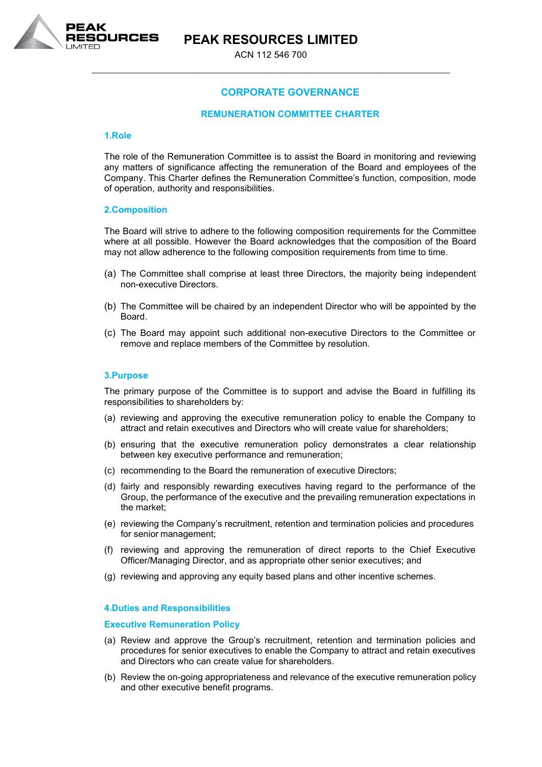

# **PEAK RESOURCES LIMITED**

ACN 112 546 700 \_\_\_\_\_\_\_\_\_\_\_\_\_\_\_\_\_\_\_\_\_\_\_\_\_\_\_\_\_\_\_\_\_\_\_\_\_\_\_\_\_\_\_\_\_\_\_\_\_\_\_\_\_\_\_\_\_\_\_\_\_\_\_\_\_\_\_\_\_\_\_\_\_\_\_

# **CORPORATE GOVERNANCE**

# **REMUNERATION COMMITTEE CHARTER**

#### **1.Role**

The role of the Remuneration Committee is to assist the Board in monitoring and reviewing any matters of significance affecting the remuneration of the Board and employees of the Company. This Charter defines the Remuneration Committee's function, composition, mode of operation, authority and responsibilities.

## **2.Composition**

The Board will strive to adhere to the following composition requirements for the Committee where at all possible. However the Board acknowledges that the composition of the Board may not allow adherence to the following composition requirements from time to time.

- (a) The Committee shall comprise at least three Directors, the majority being independent non-executive Directors.
- (b) The Committee will be chaired by an independent Director who will be appointed by the Board.
- (c) The Board may appoint such additional non-executive Directors to the Committee or remove and replace members of the Committee by resolution.

## **3.Purpose**

The primary purpose of the Committee is to support and advise the Board in fulfilling its responsibilities to shareholders by:

- (a) reviewing and approving the executive remuneration policy to enable the Company to attract and retain executives and Directors who will create value for shareholders;
- (b) ensuring that the executive remuneration policy demonstrates a clear relationship between key executive performance and remuneration;
- (c) recommending to the Board the remuneration of executive Directors;
- (d) fairly and responsibly rewarding executives having regard to the performance of the Group, the performance of the executive and the prevailing remuneration expectations in the market;
- (e) reviewing the Company's recruitment, retention and termination policies and procedures for senior management;
- (f) reviewing and approving the remuneration of direct reports to the Chief Executive Officer/Managing Director, and as appropriate other senior executives; and
- (g) reviewing and approving any equity based plans and other incentive schemes.

#### **4.Duties and Responsibilities**

## **Executive Remuneration Policy**

- (a) Review and approve the Group's recruitment, retention and termination policies and procedures for senior executives to enable the Company to attract and retain executives and Directors who can create value for shareholders.
- (b) Review the on-going appropriateness and relevance of the executive remuneration policy and other executive benefit programs.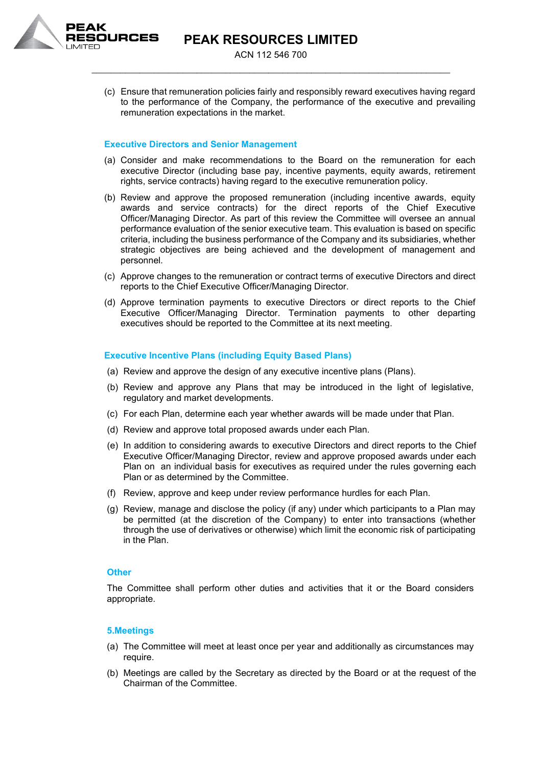

(c) Ensure that remuneration policies fairly and responsibly reward executives having regard to the performance of the Company, the performance of the executive and prevailing remuneration expectations in the market.

## **Executive Directors and Senior Management**

- (a) Consider and make recommendations to the Board on the remuneration for each executive Director (including base pay, incentive payments, equity awards, retirement rights, service contracts) having regard to the executive remuneration policy.
- (b) Review and approve the proposed remuneration (including incentive awards, equity awards and service contracts) for the direct reports of the Chief Executive Officer/Managing Director. As part of this review the Committee will oversee an annual performance evaluation of the senior executive team. This evaluation is based on specific criteria, including the business performance of the Company and its subsidiaries, whether strategic objectives are being achieved and the development of management and personnel.
- (c) Approve changes to the remuneration or contract terms of executive Directors and direct reports to the Chief Executive Officer/Managing Director.
- (d) Approve termination payments to executive Directors or direct reports to the Chief Executive Officer/Managing Director. Termination payments to other departing executives should be reported to the Committee at its next meeting.

## **Executive Incentive Plans (including Equity Based Plans)**

- (a) Review and approve the design of any executive incentive plans (Plans).
- (b) Review and approve any Plans that may be introduced in the light of legislative, regulatory and market developments.
- (c) For each Plan, determine each year whether awards will be made under that Plan.
- (d) Review and approve total proposed awards under each Plan.
- (e) In addition to considering awards to executive Directors and direct reports to the Chief Executive Officer/Managing Director, review and approve proposed awards under each Plan on an individual basis for executives as required under the rules governing each Plan or as determined by the Committee.
- (f) Review, approve and keep under review performance hurdles for each Plan.
- (g) Review, manage and disclose the policy (if any) under which participants to a Plan may be permitted (at the discretion of the Company) to enter into transactions (whether through the use of derivatives or otherwise) which limit the economic risk of participating in the Plan.

#### **Other**

The Committee shall perform other duties and activities that it or the Board considers appropriate.

#### **5.Meetings**

- (a) The Committee will meet at least once per year and additionally as circumstances may require.
- (b) Meetings are called by the Secretary as directed by the Board or at the request of the Chairman of the Committee.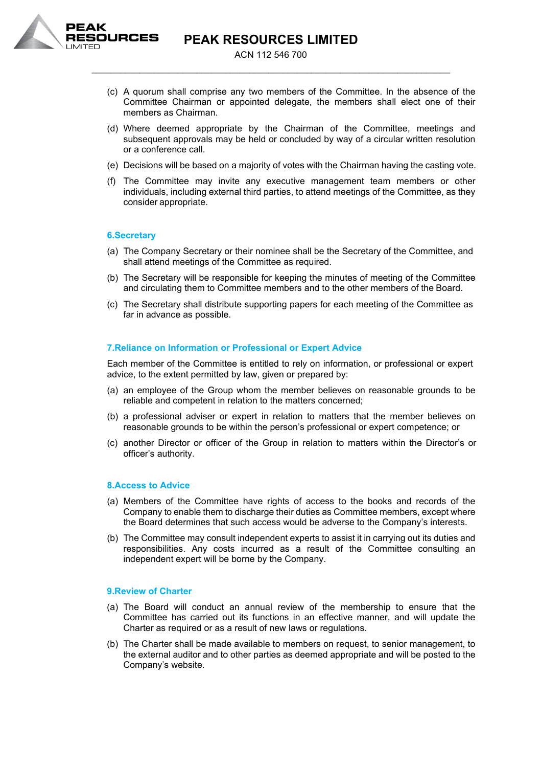

**PEAK RESOURCES LIMITED**

ACN 112 546 700 \_\_\_\_\_\_\_\_\_\_\_\_\_\_\_\_\_\_\_\_\_\_\_\_\_\_\_\_\_\_\_\_\_\_\_\_\_\_\_\_\_\_\_\_\_\_\_\_\_\_\_\_\_\_\_\_\_\_\_\_\_\_\_\_\_\_\_\_\_\_\_\_\_\_\_

- (c) A quorum shall comprise any two members of the Committee. In the absence of the Committee Chairman or appointed delegate, the members shall elect one of their members as Chairman.
- (d) Where deemed appropriate by the Chairman of the Committee, meetings and subsequent approvals may be held or concluded by way of a circular written resolution or a conference call.
- (e) Decisions will be based on a majority of votes with the Chairman having the casting vote.
- (f) The Committee may invite any executive management team members or other individuals, including external third parties, to attend meetings of the Committee, as they consider appropriate.

## **6.Secretary**

- (a) The Company Secretary or their nominee shall be the Secretary of the Committee, and shall attend meetings of the Committee as required.
- (b) The Secretary will be responsible for keeping the minutes of meeting of the Committee and circulating them to Committee members and to the other members of the Board.
- (c) The Secretary shall distribute supporting papers for each meeting of the Committee as far in advance as possible.

## **7.Reliance on Information or Professional or Expert Advice**

Each member of the Committee is entitled to rely on information, or professional or expert advice, to the extent permitted by law, given or prepared by:

- (a) an employee of the Group whom the member believes on reasonable grounds to be reliable and competent in relation to the matters concerned;
- (b) a professional adviser or expert in relation to matters that the member believes on reasonable grounds to be within the person's professional or expert competence; or
- (c) another Director or officer of the Group in relation to matters within the Director's or officer's authority.

# **8.Access to Advice**

- (a) Members of the Committee have rights of access to the books and records of the Company to enable them to discharge their duties as Committee members, except where the Board determines that such access would be adverse to the Company's interests.
- (b) The Committee may consult independent experts to assist it in carrying out its duties and responsibilities. Any costs incurred as a result of the Committee consulting an independent expert will be borne by the Company.

#### **9.Review of Charter**

- (a) The Board will conduct an annual review of the membership to ensure that the Committee has carried out its functions in an effective manner, and will update the Charter as required or as a result of new laws or regulations.
- (b) The Charter shall be made available to members on request, to senior management, to the external auditor and to other parties as deemed appropriate and will be posted to the Company's website.